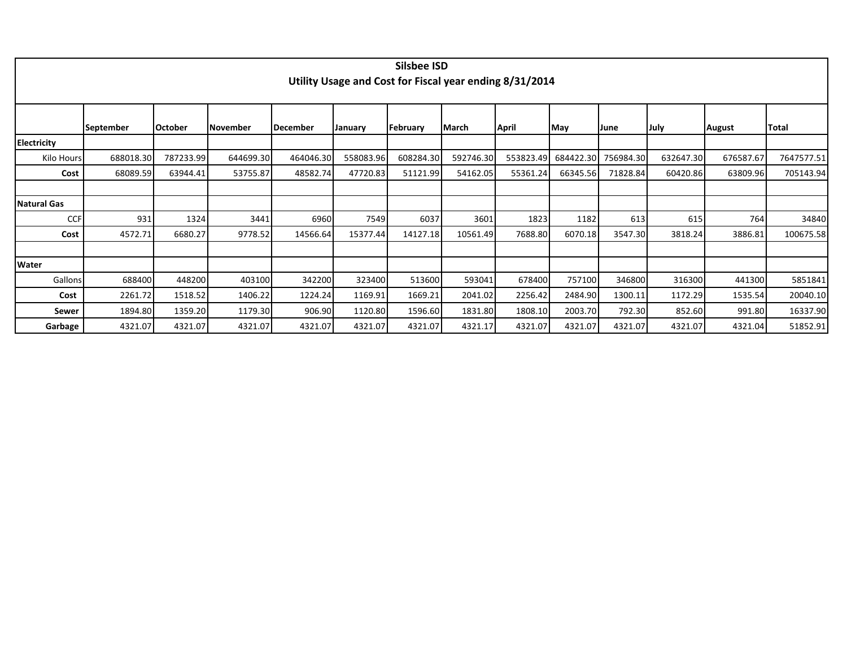|                    |                  |                |           |           |           | <b>Silsbee ISD</b> |           |                                                         |           |             |           |               |            |
|--------------------|------------------|----------------|-----------|-----------|-----------|--------------------|-----------|---------------------------------------------------------|-----------|-------------|-----------|---------------|------------|
|                    |                  |                |           |           |           |                    |           |                                                         |           |             |           |               |            |
|                    |                  |                |           |           |           |                    |           | Utility Usage and Cost for Fiscal year ending 8/31/2014 |           |             |           |               |            |
|                    |                  |                |           |           |           |                    |           |                                                         |           |             |           |               |            |
|                    |                  |                |           |           |           |                    |           |                                                         |           |             |           |               |            |
|                    | <b>September</b> | <b>October</b> | November  | December  | January   | February           | March     | April                                                   | May       | <b>June</b> | July      | <b>August</b> | Total      |
| <b>Electricity</b> |                  |                |           |           |           |                    |           |                                                         |           |             |           |               |            |
| Kilo Hours         | 688018.30        | 787233.99      | 644699.30 | 464046.30 | 558083.96 | 608284.30          | 592746.30 | 553823.49                                               | 684422.30 | 756984.30   | 632647.30 | 676587.67     | 7647577.51 |
| Cost               | 68089.59         | 63944.41       | 53755.87  | 48582.74  | 47720.83  | 51121.99           | 54162.05  | 55361.24                                                | 66345.56  | 71828.84    | 60420.86  | 63809.96      | 705143.94  |
|                    |                  |                |           |           |           |                    |           |                                                         |           |             |           |               |            |
| <b>Natural Gas</b> |                  |                |           |           |           |                    |           |                                                         |           |             |           |               |            |
| <b>CCF</b>         | 931              | 1324           | 3441      | 6960      | 7549      | 6037               | 3601      | 1823                                                    | 1182      | 613         | 615       | 764           | 34840      |
| Cost               | 4572.71          | 6680.27        | 9778.52   | 14566.64  | 15377.44  | 14127.18           | 10561.49  | 7688.80                                                 | 6070.18   | 3547.30     | 3818.24   | 3886.81       | 100675.58  |
|                    |                  |                |           |           |           |                    |           |                                                         |           |             |           |               |            |
| Water              |                  |                |           |           |           |                    |           |                                                         |           |             |           |               |            |
| Gallons            | 688400           | 448200         | 403100    | 342200    | 323400    | 513600             | 593041    | 678400                                                  | 757100    | 346800      | 316300    | 441300        | 5851841    |
| Cost               | 2261.72          | 1518.52        | 1406.22   | 1224.24   | 1169.91   | 1669.21            | 2041.02   | 2256.42                                                 | 2484.90   | 1300.11     | 1172.29   | 1535.54       | 20040.10   |
| Sewer              | 1894.80          | 1359.20        | 1179.30   | 906.90    | 1120.80   | 1596.60            | 1831.80   | 1808.10                                                 | 2003.70   | 792.30      | 852.60    | 991.80        | 16337.90   |
| Garbage            | 4321.07          | 4321.07        | 4321.07   | 4321.07   | 4321.07   | 4321.07            | 4321.17   | 4321.07                                                 | 4321.07   | 4321.07     | 4321.07   | 4321.04       | 51852.91   |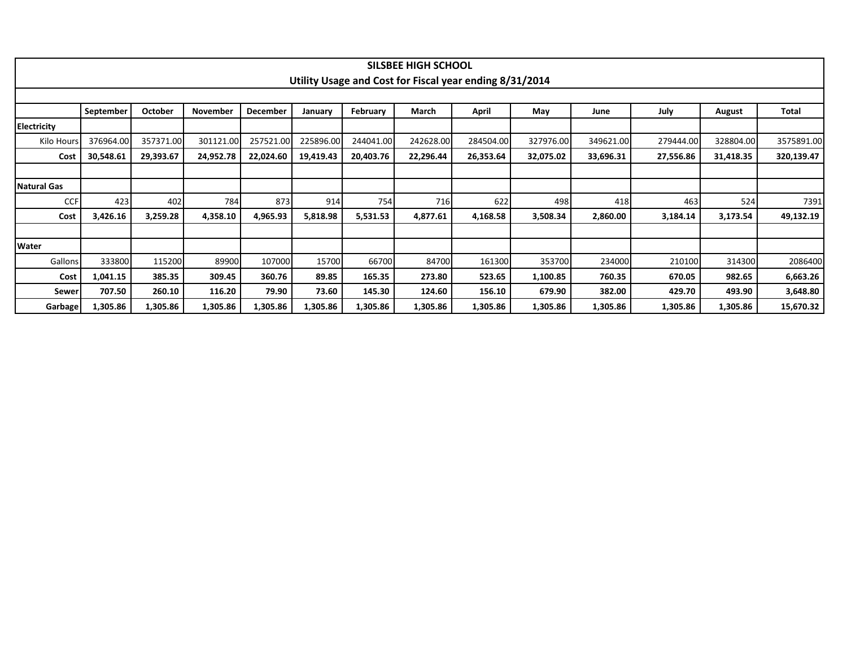|                    |           |                |                 |                 |           |           | <b>SILSBEE HIGH SCHOOL</b> |                                                         |           |           |           |           |              |
|--------------------|-----------|----------------|-----------------|-----------------|-----------|-----------|----------------------------|---------------------------------------------------------|-----------|-----------|-----------|-----------|--------------|
|                    |           |                |                 |                 |           |           |                            | Utility Usage and Cost for Fiscal year ending 8/31/2014 |           |           |           |           |              |
|                    | September | <b>October</b> | <b>November</b> | <b>December</b> | January   | February  | March                      | April                                                   | May       | June      | July      | August    | <b>Total</b> |
| <b>Electricity</b> |           |                |                 |                 |           |           |                            |                                                         |           |           |           |           |              |
| Kilo Hours         | 376964.00 | 357371.00      | 301121.00       | 257521.00       | 225896.00 | 244041.00 | 242628.00                  | 284504.00                                               | 327976.00 | 349621.00 | 279444.00 | 328804.00 | 3575891.00   |
| Cost               | 30,548.61 | 29,393.67      | 24,952.78       | 22,024.60       | 19,419.43 | 20,403.76 | 22,296.44                  | 26,353.64                                               | 32,075.02 | 33,696.31 | 27,556.86 | 31,418.35 | 320,139.47   |
|                    |           |                |                 |                 |           |           |                            |                                                         |           |           |           |           |              |
| Natural Gas        |           |                |                 |                 |           |           |                            |                                                         |           |           |           |           |              |
| <b>CCF</b>         | 423       | 402            | 784             | 873             | 914       | 754       | 716                        | 622                                                     | 498       | 418       | 463       | 524       | 7391         |
| Cost               | 3,426.16  | 3,259.28       | 4,358.10        | 4,965.93        | 5,818.98  | 5,531.53  | 4,877.61                   | 4,168.58                                                | 3,508.34  | 2,860.00  | 3,184.14  | 3,173.54  | 49,132.19    |
|                    |           |                |                 |                 |           |           |                            |                                                         |           |           |           |           |              |
| Water              |           |                |                 |                 |           |           |                            |                                                         |           |           |           |           |              |
| <b>Gallons</b>     | 333800    | 115200         | 89900           | 107000          | 15700     | 66700     | 84700                      | 161300                                                  | 353700    | 234000    | 210100    | 314300    | 2086400      |
| Cost               | 1,041.15  | 385.35         | 309.45          | 360.76          | 89.85     | 165.35    | 273.80                     | 523.65                                                  | 1,100.85  | 760.35    | 670.05    | 982.65    | 6,663.26     |
| <b>Sewer</b>       | 707.50    | 260.10         | 116.20          | 79.90           | 73.60     | 145.30    | 124.60                     | 156.10                                                  | 679.90    | 382.00    | 429.70    | 493.90    | 3,648.80     |
| Garbage            | 1,305.86  | 1,305.86       | 1,305.86        | 1,305.86        | 1,305.86  | 1,305.86  | 1,305.86                   | 1,305.86                                                | 1,305.86  | 1,305.86  | 1,305.86  | 1,305.86  | 15,670.32    |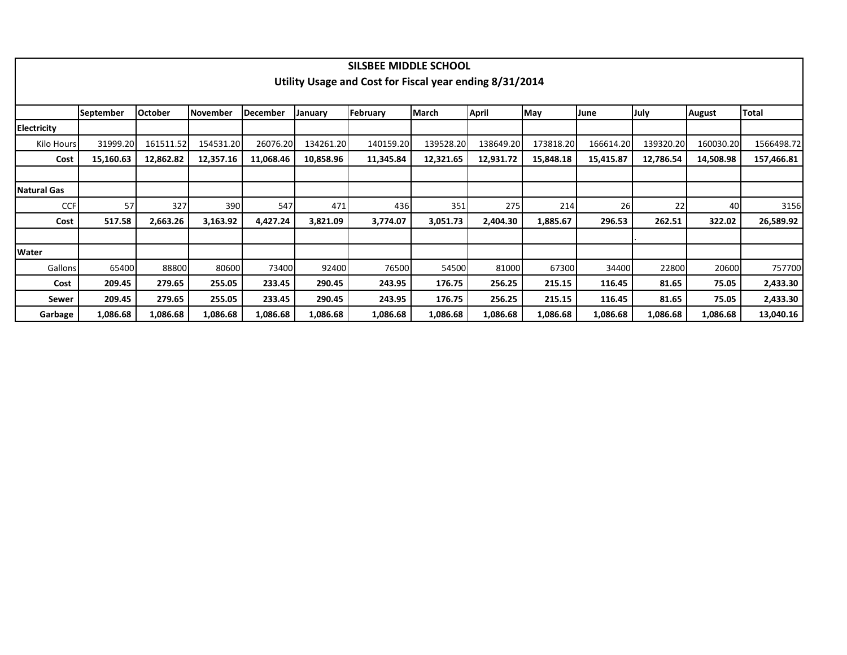|                    |                  |                |           |                 |           | SILSBEE MIDDLE SCHOOL                                   |              |           |           |           |           |               |              |
|--------------------|------------------|----------------|-----------|-----------------|-----------|---------------------------------------------------------|--------------|-----------|-----------|-----------|-----------|---------------|--------------|
|                    |                  |                |           |                 |           | Utility Usage and Cost for Fiscal year ending 8/31/2014 |              |           |           |           |           |               |              |
|                    |                  |                |           |                 |           |                                                         |              |           |           |           |           |               |              |
|                    | <b>September</b> | <b>October</b> | November  | <b>December</b> | January   | February                                                | <b>March</b> | April     | May       | June      | July      | <b>August</b> | <b>Total</b> |
| <b>Electricity</b> |                  |                |           |                 |           |                                                         |              |           |           |           |           |               |              |
| Kilo Hours         | 31999.20         | 161511.52      | 154531.20 | 26076.20        | 134261.20 | 140159.20                                               | 139528.20    | 138649.20 | 173818.20 | 166614.20 | 139320.20 | 160030.20     | 1566498.72   |
| Cost               | 15,160.63        | 12,862.82      | 12,357.16 | 11,068.46       | 10,858.96 | 11,345.84                                               | 12,321.65    | 12,931.72 | 15,848.18 | 15,415.87 | 12,786.54 | 14,508.98     | 157,466.81   |
|                    |                  |                |           |                 |           |                                                         |              |           |           |           |           |               |              |
| Natural Gas        |                  |                |           |                 |           |                                                         |              |           |           |           |           |               |              |
| <b>CCF</b>         | 57               | 327            | 390       | 547             | 471       | 436                                                     | 351          | 275       | 214       | 26        | 22        | 40            | 3156         |
| Cost               | 517.58           | 2,663.26       | 3,163.92  | 4,427.24        | 3,821.09  | 3,774.07                                                | 3,051.73     | 2,404.30  | 1,885.67  | 296.53    | 262.51    | 322.02        | 26,589.92    |
|                    |                  |                |           |                 |           |                                                         |              |           |           |           |           |               |              |
| <b>Water</b>       |                  |                |           |                 |           |                                                         |              |           |           |           |           |               |              |
| Gallons            | 65400            | 88800          | 80600     | 73400           | 92400     | 76500                                                   | 54500        | 81000     | 67300     | 34400     | 22800     | 20600         | 757700       |
| Cost               | 209.45           | 279.65         | 255.05    | 233.45          | 290.45    | 243.95                                                  | 176.75       | 256.25    | 215.15    | 116.45    | 81.65     | 75.05         | 2,433.30     |
| Sewer              | 209.45           | 279.65         | 255.05    | 233.45          | 290.45    | 243.95                                                  | 176.75       | 256.25    | 215.15    | 116.45    | 81.65     | 75.05         | 2,433.30     |
| Garbage            | 1,086.68         | 1,086.68       | 1,086.68  | 1,086.68        | 1,086.68  | 1,086.68                                                | 1,086.68     | 1,086.68  | 1,086.68  | 1,086.68  | 1,086.68  | 1,086.68      | 13,040.16    |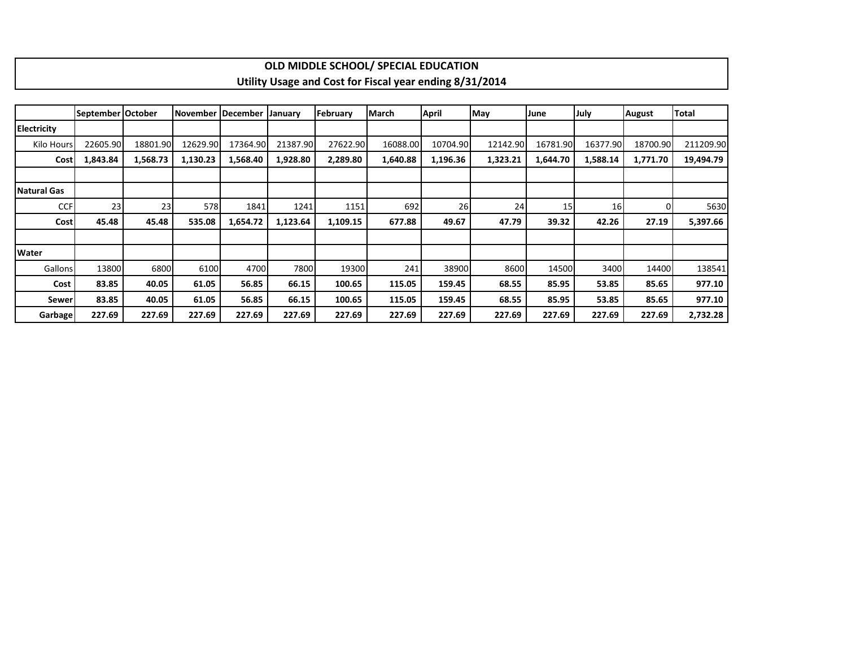|                    |                   |          |          |                     |          |          | OLD MIDDLE SCHOOL/ SPECIAL EDUCATION                    |              |          |          |          |               |           |
|--------------------|-------------------|----------|----------|---------------------|----------|----------|---------------------------------------------------------|--------------|----------|----------|----------|---------------|-----------|
|                    |                   |          |          |                     |          |          | Utility Usage and Cost for Fiscal year ending 8/31/2014 |              |          |          |          |               |           |
|                    |                   |          |          |                     |          |          |                                                         |              |          |          |          |               |           |
|                    | September October |          |          | November   December | January  | February | March                                                   | <b>April</b> | May      | June     | July     | <b>August</b> | Total     |
| <b>Electricity</b> |                   |          |          |                     |          |          |                                                         |              |          |          |          |               |           |
| Kilo Hours         | 22605.90          | 18801.90 | 12629.90 | 17364.90            | 21387.90 | 27622.90 | 16088.00                                                | 10704.90     | 12142.90 | 16781.90 | 16377.90 | 18700.90      | 211209.90 |
| Cost               | 1,843.84          | 1,568.73 | 1,130.23 | 1,568.40            | 1,928.80 | 2,289.80 | 1,640.88                                                | 1,196.36     | 1,323.21 | 1,644.70 | 1,588.14 | 1,771.70      | 19,494.79 |
|                    |                   |          |          |                     |          |          |                                                         |              |          |          |          |               |           |
| <b>Natural Gas</b> |                   |          |          |                     |          |          |                                                         |              |          |          |          |               |           |
| <b>CCF</b>         | 23                | 23       | 578      | 1841                | 1241     | 1151     | 692                                                     | 26           | 24       | 15       | 16       | 0             | 5630      |
| <b>Cost</b>        | 45.48             | 45.48    | 535.08   | 1,654.72            | 1,123.64 | 1,109.15 | 677.88                                                  | 49.67        | 47.79    | 39.32    | 42.26    | 27.19         | 5,397.66  |
|                    |                   |          |          |                     |          |          |                                                         |              |          |          |          |               |           |
| <b>Water</b>       |                   |          |          |                     |          |          |                                                         |              |          |          |          |               |           |
| Gallons            | 13800             | 6800     | 6100     | 4700                | 7800     | 19300    | 241                                                     | 38900        | 8600     | 14500    | 3400     | 14400         | 138541    |
| Cost               | 83.85             | 40.05    | 61.05    | 56.85               | 66.15    | 100.65   | 115.05                                                  | 159.45       | 68.55    | 85.95    | 53.85    | 85.65         | 977.10    |
| Sewer              | 83.85             | 40.05    | 61.05    | 56.85               | 66.15    | 100.65   | 115.05                                                  | 159.45       | 68.55    | 85.95    | 53.85    | 85.65         | 977.10    |
| Garbage            | 227.69            | 227.69   | 227.69   | 227.69              | 227.69   | 227.69   | 227.69                                                  | 227.69       | 227.69   | 227.69   | 227.69   | 227.69        | 2,732.28  |

 $\Gamma$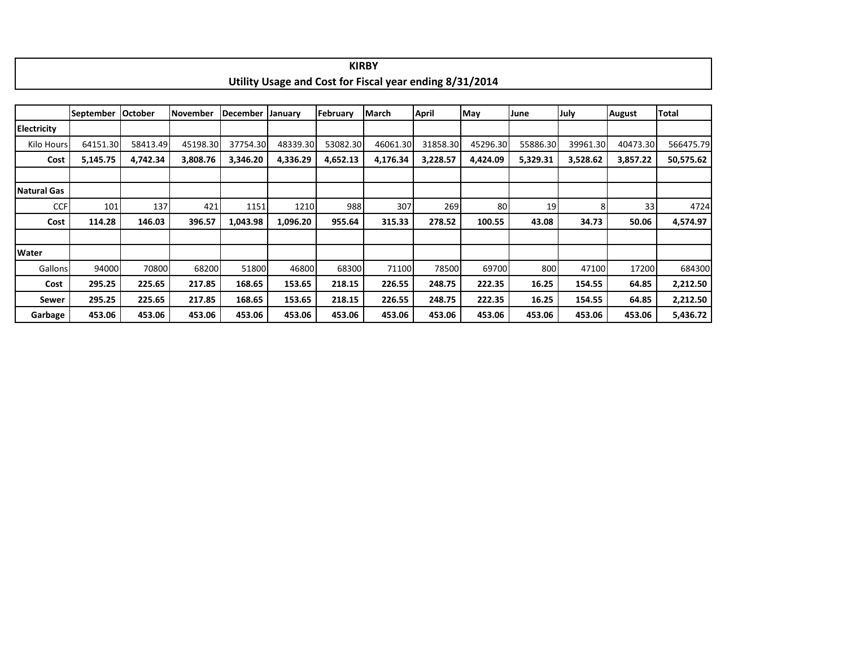|                    |                  |                |          |                 |          |          | <b>KIRBY</b>                                            |          |          |          |          |               |           |
|--------------------|------------------|----------------|----------|-----------------|----------|----------|---------------------------------------------------------|----------|----------|----------|----------|---------------|-----------|
|                    |                  |                |          |                 |          |          | Utility Usage and Cost for Fiscal year ending 8/31/2014 |          |          |          |          |               |           |
|                    |                  |                |          |                 |          |          |                                                         |          |          |          |          |               |           |
|                    | <b>September</b> | <b>October</b> | November | <b>December</b> | January  | February | March                                                   | April    | May      | June     | July     | <b>August</b> | Total     |
| <b>Electricity</b> |                  |                |          |                 |          |          |                                                         |          |          |          |          |               |           |
| Kilo Hours         | 64151.30         | 58413.49       | 45198.30 | 37754.30        | 48339.30 | 53082.30 | 46061.30                                                | 31858.30 | 45296.30 | 55886.30 | 39961.30 | 40473.30      | 566475.79 |
| Cost               | 5,145.75         | 4,742.34       | 3,808.76 | 3,346.20        | 4,336.29 | 4,652.13 | 4,176.34                                                | 3,228.57 | 4,424.09 | 5,329.31 | 3,528.62 | 3,857.22      | 50,575.62 |
|                    |                  |                |          |                 |          |          |                                                         |          |          |          |          |               |           |
| <b>Natural Gas</b> |                  |                |          |                 |          |          |                                                         |          |          |          |          |               |           |
| <b>CCF</b>         | 101              | 137            | 421      | 1151            | 1210     | 988      | 307                                                     | 269      | 80       | 19       |          | 33            | 4724      |
| Cost               | 114.28           | 146.03         | 396.57   | 1,043.98        | 1,096.20 | 955.64   | 315.33                                                  | 278.52   | 100.55   | 43.08    | 34.73    | 50.06         | 4,574.97  |
|                    |                  |                |          |                 |          |          |                                                         |          |          |          |          |               |           |
| Water              |                  |                |          |                 |          |          |                                                         |          |          |          |          |               |           |
| Gallons            | 94000            | 70800          | 68200    | 51800           | 46800    | 68300    | 71100                                                   | 78500    | 69700    | 800      | 47100    | 17200         | 684300    |
| Cost               | 295.25           | 225.65         | 217.85   | 168.65          | 153.65   | 218.15   | 226.55                                                  | 248.75   | 222.35   | 16.25    | 154.55   | 64.85         | 2,212.50  |
| Sewer              | 295.25           | 225.65         | 217.85   | 168.65          | 153.65   | 218.15   | 226.55                                                  | 248.75   | 222.35   | 16.25    | 154.55   | 64.85         | 2,212.50  |
| Garbage            | 453.06           | 453.06         | 453.06   | 453.06          | 453.06   | 453.06   | 453.06                                                  | 453.06   | 453.06   | 453.06   | 453.06   | 453.06        | 5,436.72  |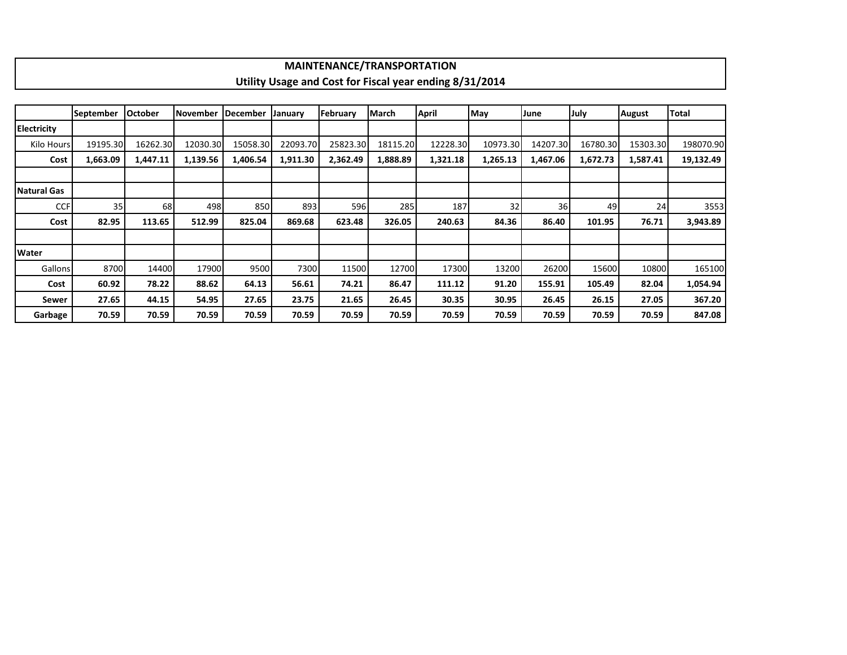|                    |                  |                |                 |          |          | <b>MAINTENANCE/TRANSPORTATION</b> |          |                                                         |          |          |          |               |           |
|--------------------|------------------|----------------|-----------------|----------|----------|-----------------------------------|----------|---------------------------------------------------------|----------|----------|----------|---------------|-----------|
|                    |                  |                |                 |          |          |                                   |          | Utility Usage and Cost for Fiscal year ending 8/31/2014 |          |          |          |               |           |
|                    |                  |                |                 |          |          |                                   |          |                                                         |          |          |          |               |           |
|                    | <b>September</b> | <b>October</b> | <b>November</b> | December | January  | February                          | March    | April                                                   | May      | June     | July     | <b>August</b> | Total     |
| <b>Electricity</b> |                  |                |                 |          |          |                                   |          |                                                         |          |          |          |               |           |
| Kilo Hours         | 19195.30         | 16262.30       | 12030.30        | 15058.30 | 22093.70 | 25823.30                          | 18115.20 | 12228.30                                                | 10973.30 | 14207.30 | 16780.30 | 15303.30      | 198070.90 |
| Cost               | 1,663.09         | 1,447.11       | 1,139.56        | 1,406.54 | 1,911.30 | 2,362.49                          | 1,888.89 | 1,321.18                                                | 1,265.13 | 1,467.06 | 1,672.73 | 1,587.41      | 19,132.49 |
|                    |                  |                |                 |          |          |                                   |          |                                                         |          |          |          |               |           |
| Natural Gas        |                  |                |                 |          |          |                                   |          |                                                         |          |          |          |               |           |
| <b>CCF</b>         | 35               | 68             | 498             | 850      | 893      | 596                               | 285      | 187                                                     | 32       | 36       | 49       | 24            | 3553      |
| Cost               | 82.95            | 113.65         | 512.99          | 825.04   | 869.68   | 623.48                            | 326.05   | 240.63                                                  | 84.36    | 86.40    | 101.95   | 76.71         | 3,943.89  |
|                    |                  |                |                 |          |          |                                   |          |                                                         |          |          |          |               |           |
| <b>Water</b>       |                  |                |                 |          |          |                                   |          |                                                         |          |          |          |               |           |
| <b>Gallons</b>     | 8700             | 14400          | 17900           | 9500     | 7300     | 11500                             | 12700    | 17300                                                   | 13200    | 26200    | 15600    | 10800         | 165100    |
| Cost               | 60.92            | 78.22          | 88.62           | 64.13    | 56.61    | 74.21                             | 86.47    | 111.12                                                  | 91.20    | 155.91   | 105.49   | 82.04         | 1,054.94  |
| Sewer              | 27.65            | 44.15          | 54.95           | 27.65    | 23.75    | 21.65                             | 26.45    | 30.35                                                   | 30.95    | 26.45    | 26.15    | 27.05         | 367.20    |
| Garbage            | 70.59            | 70.59          | 70.59           | 70.59    | 70.59    | 70.59                             | 70.59    | 70.59                                                   | 70.59    | 70.59    | 70.59    | 70.59         | 847.08    |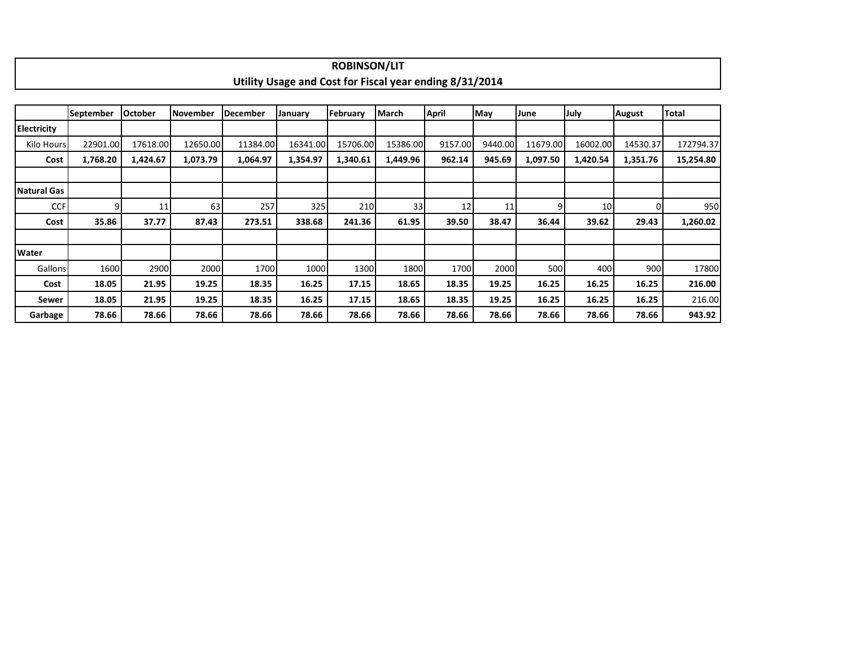|                    |           |                |          |                 |                                                         | <b>ROBINSON/LIT</b> |          |         |         |          |          |          |              |
|--------------------|-----------|----------------|----------|-----------------|---------------------------------------------------------|---------------------|----------|---------|---------|----------|----------|----------|--------------|
|                    |           |                |          |                 | Utility Usage and Cost for Fiscal year ending 8/31/2014 |                     |          |         |         |          |          |          |              |
|                    |           |                |          |                 |                                                         |                     |          |         |         |          |          |          |              |
|                    | September | <b>October</b> | November | <b>December</b> | January                                                 | February            | March    | April   | May     | June     | July     | August   | <b>Total</b> |
| <b>Electricity</b> |           |                |          |                 |                                                         |                     |          |         |         |          |          |          |              |
| Kilo Hours         | 22901.00  | 17618.00       | 12650.00 | 11384.00        | 16341.00                                                | 15706.00            | 15386.00 | 9157.00 | 9440.00 | 11679.00 | 16002.00 | 14530.37 | 172794.37    |
| Cost               | 1,768.20  | 1,424.67       | 1,073.79 | 1,064.97        | 1,354.97                                                | 1,340.61            | 1,449.96 | 962.14  | 945.69  | 1,097.50 | 1,420.54 | 1,351.76 | 15,254.80    |
|                    |           |                |          |                 |                                                         |                     |          |         |         |          |          |          |              |
| Natural Gas        |           |                |          |                 |                                                         |                     |          |         |         |          |          |          |              |
| <b>CCF</b>         | 9         | 11             | 63       | 257             | 325                                                     | 210                 | 33       | 12      | 11      | a        | 10       | $\Omega$ | 950          |
| Cost               | 35.86     | 37.77          | 87.43    | 273.51          | 338.68                                                  | 241.36              | 61.95    | 39.50   | 38.47   | 36.44    | 39.62    | 29.43    | 1,260.02     |
|                    |           |                |          |                 |                                                         |                     |          |         |         |          |          |          |              |
| <b>Water</b>       |           |                |          |                 |                                                         |                     |          |         |         |          |          |          |              |
| Gallons            | 1600      | 2900           | 2000     | 1700            | 1000                                                    | 1300                | 1800     | 1700    | 2000    | 500      | 400      | 900      | 17800        |
| Cost               | 18.05     | 21.95          | 19.25    | 18.35           | 16.25                                                   | 17.15               | 18.65    | 18.35   | 19.25   | 16.25    | 16.25    | 16.25    | 216.00       |
| Sewer              | 18.05     | 21.95          | 19.25    | 18.35           | 16.25                                                   | 17.15               | 18.65    | 18.35   | 19.25   | 16.25    | 16.25    | 16.25    | 216.00       |
| Garbage            | 78.66     | 78.66          | 78.66    | 78.66           | 78.66                                                   | 78.66               | 78.66    | 78.66   | 78.66   | 78.66    | 78.66    | 78.66    | 943.92       |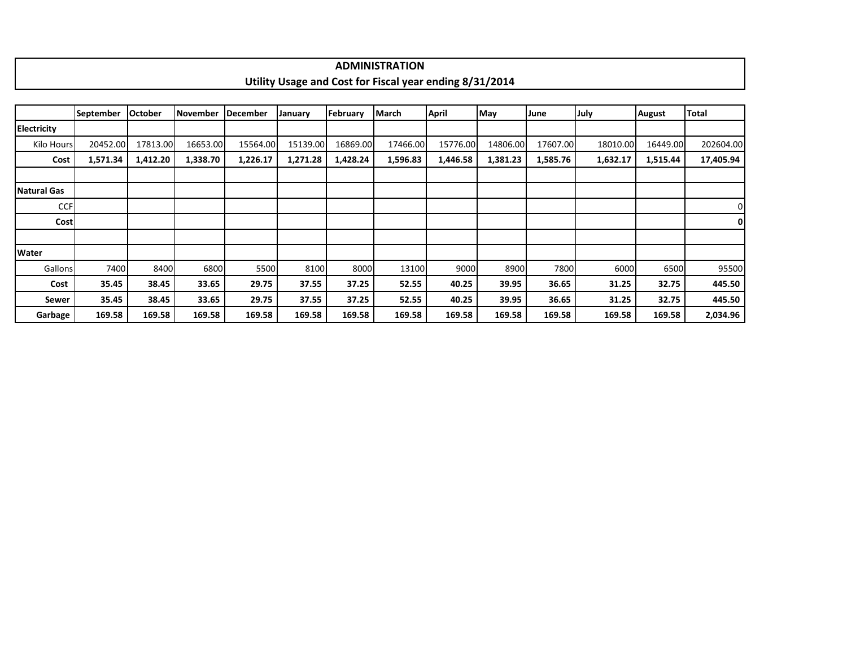|  |  |  | <b>ADMINISTRATION</b>                                   |  |  |  |
|--|--|--|---------------------------------------------------------|--|--|--|
|  |  |  | Utility Usage and Cost for Fiscal year ending 8/31/2014 |  |  |  |
|  |  |  |                                                         |  |  |  |
|  |  |  |                                                         |  |  |  |

|              | September | <b>October</b> | <b>November</b> | December | January  | February | March    | April    | May      | June     | July     | <b>August</b> | <b>Total</b>   |
|--------------|-----------|----------------|-----------------|----------|----------|----------|----------|----------|----------|----------|----------|---------------|----------------|
| Electricity  |           |                |                 |          |          |          |          |          |          |          |          |               |                |
| Kilo Hours   | 20452.00  | 17813.00       | 16653.00        | 15564.00 | 15139.00 | 16869.00 | 17466.00 | 15776.00 | 14806.00 | 17607.00 | 18010.00 | 16449.00      | 202604.00      |
| Cost         | 1,571.34  | 1,412.20       | 1,338.70        | 1,226.17 | 1,271.28 | 1,428.24 | 1,596.83 | 1,446.58 | 1,381.23 | 1,585.76 | 1,632.17 | 1,515.44      | 17,405.94      |
|              |           |                |                 |          |          |          |          |          |          |          |          |               |                |
| Natural Gas  |           |                |                 |          |          |          |          |          |          |          |          |               |                |
| <b>CCF</b>   |           |                |                 |          |          |          |          |          |          |          |          |               | $\overline{0}$ |
| <b>Cost</b>  |           |                |                 |          |          |          |          |          |          |          |          |               | 0              |
|              |           |                |                 |          |          |          |          |          |          |          |          |               |                |
| <b>Water</b> |           |                |                 |          |          |          |          |          |          |          |          |               |                |
| Gallons      | 7400      | 8400           | 6800            | 5500     | 8100     | 8000     | 13100    | 9000     | 8900     | 7800     | 6000     | 6500          | 95500          |
| Cost         | 35.45     | 38.45          | 33.65           | 29.75    | 37.55    | 37.25    | 52.55    | 40.25    | 39.95    | 36.65    | 31.25    | 32.75         | 445.50         |
| Sewer        | 35.45     | 38.45          | 33.65           | 29.75    | 37.55    | 37.25    | 52.55    | 40.25    | 39.95    | 36.65    | 31.25    | 32.75         | 445.50         |
| Garbage      | 169.58    | 169.58         | 169.58          | 169.58   | 169.58   | 169.58   | 169.58   | 169.58   | 169.58   | 169.58   | 169.58   | 169.58        | 2,034.96       |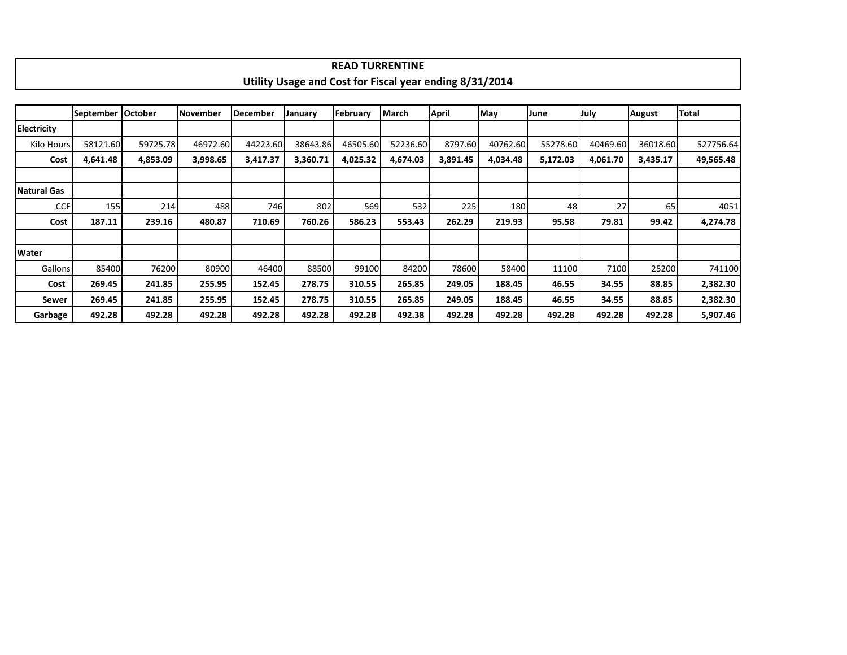|                    |           |                |          |                 |                                                         |          | <b>READ TURRENTINE</b> |          |          |          |          |               |           |
|--------------------|-----------|----------------|----------|-----------------|---------------------------------------------------------|----------|------------------------|----------|----------|----------|----------|---------------|-----------|
|                    |           |                |          |                 | Utility Usage and Cost for Fiscal year ending 8/31/2014 |          |                        |          |          |          |          |               |           |
|                    |           |                |          |                 |                                                         |          |                        |          |          |          |          |               |           |
|                    | September | <b>October</b> | November | <b>December</b> | January                                                 | February | <b>March</b>           | April    | May      | June     | July     | <b>August</b> | Total     |
| <b>Electricity</b> |           |                |          |                 |                                                         |          |                        |          |          |          |          |               |           |
| Kilo Hours         | 58121.60  | 59725.78       | 46972.60 | 44223.60        | 38643.86                                                | 46505.60 | 52236.60               | 8797.60  | 40762.60 | 55278.60 | 40469.60 | 36018.60      | 527756.64 |
| Cost               | 4,641.48  | 4,853.09       | 3,998.65 | 3,417.37        | 3,360.71                                                | 4,025.32 | 4,674.03               | 3,891.45 | 4,034.48 | 5,172.03 | 4,061.70 | 3,435.17      | 49,565.48 |
|                    |           |                |          |                 |                                                         |          |                        |          |          |          |          |               |           |
| <b>Natural Gas</b> |           |                |          |                 |                                                         |          |                        |          |          |          |          |               |           |
| <b>CCF</b>         | 155       | 214            | 488      | 746             | 802                                                     | 569      | 532                    | 225      | 180      | 48       | 27       | 65            | 4051      |
| Cost               | 187.11    | 239.16         | 480.87   | 710.69          | 760.26                                                  | 586.23   | 553.43                 | 262.29   | 219.93   | 95.58    | 79.81    | 99.42         | 4,274.78  |
|                    |           |                |          |                 |                                                         |          |                        |          |          |          |          |               |           |
| Water              |           |                |          |                 |                                                         |          |                        |          |          |          |          |               |           |
| Gallons            | 85400     | 76200          | 80900    | 46400           | 88500                                                   | 99100    | 84200                  | 78600    | 58400    | 11100    | 7100     | 25200         | 741100    |
| Cost               | 269.45    | 241.85         | 255.95   | 152.45          | 278.75                                                  | 310.55   | 265.85                 | 249.05   | 188.45   | 46.55    | 34.55    | 88.85         | 2,382.30  |
| Sewer              | 269.45    | 241.85         | 255.95   | 152.45          | 278.75                                                  | 310.55   | 265.85                 | 249.05   | 188.45   | 46.55    | 34.55    | 88.85         | 2,382.30  |
| Garbage            | 492.28    | 492.28         | 492.28   | 492.28          | 492.28                                                  | 492.28   | 492.38                 | 492.28   | 492.28   | 492.28   | 492.28   | 492.28        | 5,907.46  |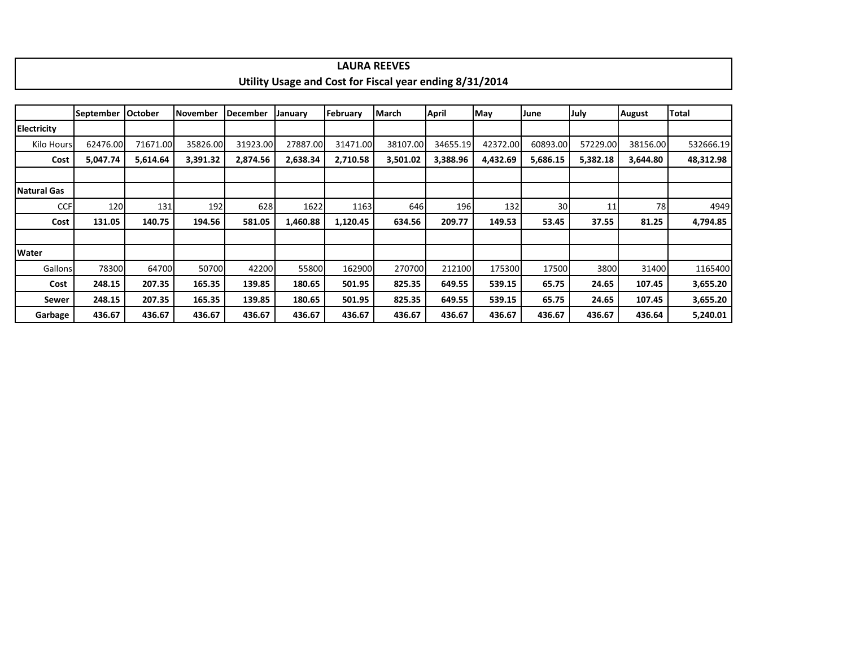|                    |                  |                |                 |                 |          |          | <b>LAURA REEVES</b>                                     |          |          |                 |          |               |           |
|--------------------|------------------|----------------|-----------------|-----------------|----------|----------|---------------------------------------------------------|----------|----------|-----------------|----------|---------------|-----------|
|                    |                  |                |                 |                 |          |          | Utility Usage and Cost for Fiscal year ending 8/31/2014 |          |          |                 |          |               |           |
|                    |                  |                |                 |                 |          |          |                                                         |          |          |                 |          |               |           |
|                    | <b>September</b> | <b>October</b> | <b>November</b> | <b>December</b> | January  | February | March                                                   | April    | May      | June            | July     | <b>August</b> | Total     |
| <b>Electricity</b> |                  |                |                 |                 |          |          |                                                         |          |          |                 |          |               |           |
| Kilo Hours         | 62476.00         | 71671.00       | 35826.00        | 31923.00        | 27887.00 | 31471.00 | 38107.00                                                | 34655.19 | 42372.00 | 60893.00        | 57229.00 | 38156.00      | 532666.19 |
| Cost               | 5,047.74         | 5,614.64       | 3,391.32        | 2,874.56        | 2,638.34 | 2,710.58 | 3,501.02                                                | 3,388.96 | 4,432.69 | 5,686.15        | 5,382.18 | 3,644.80      | 48,312.98 |
|                    |                  |                |                 |                 |          |          |                                                         |          |          |                 |          |               |           |
| Natural Gas        |                  |                |                 |                 |          |          |                                                         |          |          |                 |          |               |           |
| <b>CCF</b>         | 120              | 131            | 192             | 628             | 1622     | 1163     | 646                                                     | 196      | 132      | 30 <sup>°</sup> | 11       | 78            | 4949      |
| Cost               | 131.05           | 140.75         | 194.56          | 581.05          | 1,460.88 | 1,120.45 | 634.56                                                  | 209.77   | 149.53   | 53.45           | 37.55    | 81.25         | 4,794.85  |
|                    |                  |                |                 |                 |          |          |                                                         |          |          |                 |          |               |           |
| <b>Water</b>       |                  |                |                 |                 |          |          |                                                         |          |          |                 |          |               |           |
| Gallons            | 78300            | 64700          | 50700           | 42200           | 55800    | 162900   | 270700                                                  | 212100   | 175300   | 17500           | 3800     | 31400         | 1165400   |
| Cost               | 248.15           | 207.35         | 165.35          | 139.85          | 180.65   | 501.95   | 825.35                                                  | 649.55   | 539.15   | 65.75           | 24.65    | 107.45        | 3,655.20  |
| Sewer              | 248.15           | 207.35         | 165.35          | 139.85          | 180.65   | 501.95   | 825.35                                                  | 649.55   | 539.15   | 65.75           | 24.65    | 107.45        | 3,655.20  |
| Garbage            | 436.67           | 436.67         | 436.67          | 436.67          | 436.67   | 436.67   | 436.67                                                  | 436.67   | 436.67   | 436.67          | 436.67   | 436.64        | 5,240.01  |